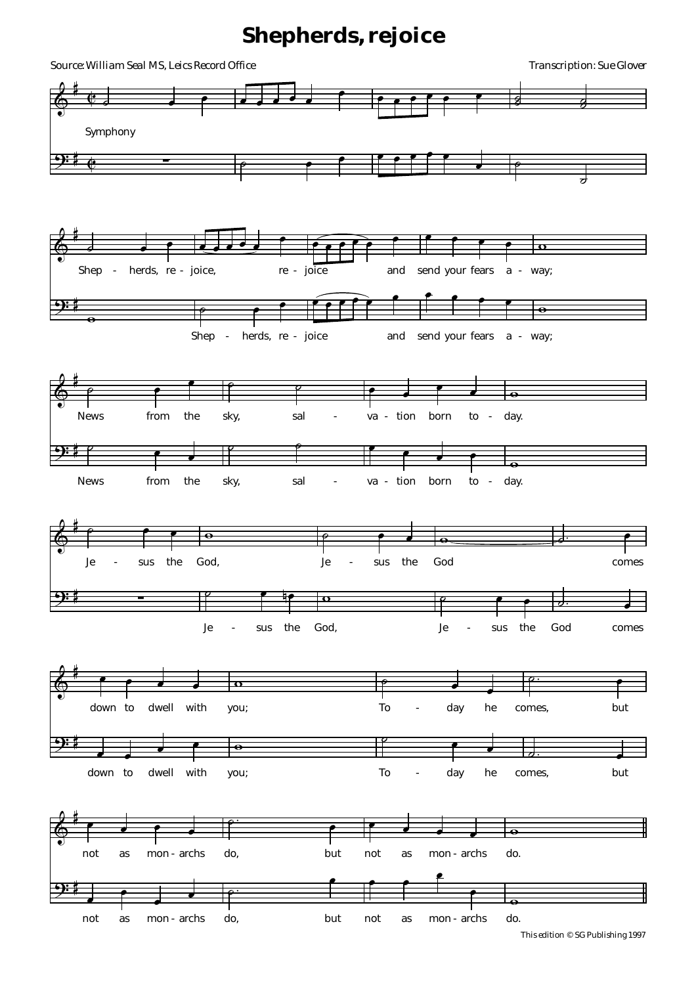## **Shepherds, rejoice**